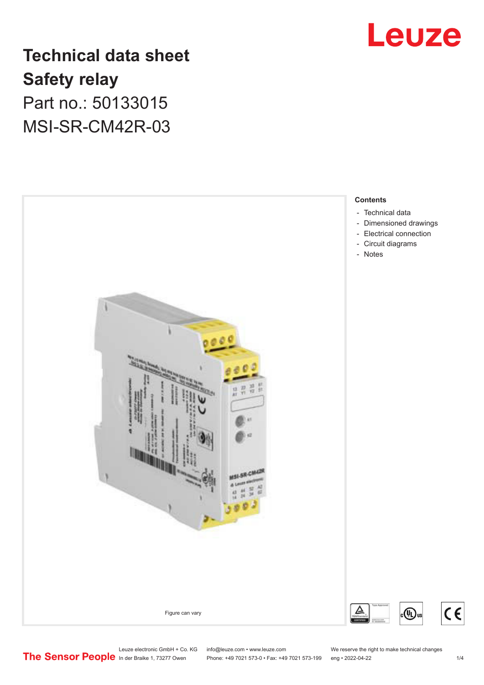

# **Technical data sheet Safety relay** Part no.: 50133015 MSI-SR-CM42R-03



Leuze electronic GmbH + Co. KG info@leuze.com • www.leuze.com We reserve the right to make technical changes<br>
The Sensor People in der Braike 1, 73277 Owen Phone: +49 7021 573-0 • Fax: +49 7021 573-199 eng • 2022-04-22

Phone: +49 7021 573-0 • Fax: +49 7021 573-199 eng • 2022-04-22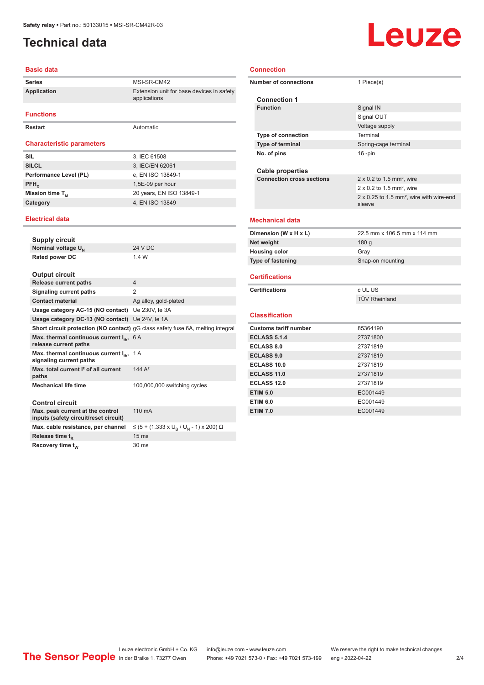## <span id="page-1-0"></span>**Technical data**

#### **Basic data**

| <b>Series</b>                    | MSI-SR-CM42                                               |
|----------------------------------|-----------------------------------------------------------|
| <b>Application</b>               | Extension unit for base devices in safety<br>applications |
| <b>Functions</b>                 |                                                           |
| Restart                          | Automatic                                                 |
| <b>Characteristic parameters</b> |                                                           |
| <b>SIL</b>                       |                                                           |
|                                  | 3, IEC 61508                                              |
| <b>SILCL</b>                     | 3, IEC/EN 62061                                           |
| Performance Level (PL)           | e, EN ISO 13849-1                                         |
| $PFH_n$                          | 1,5E-09 per hour                                          |
| Mission time T <sub>M</sub>      | 20 years, EN ISO 13849-1                                  |
| Category                         | 4, EN ISO 13849                                           |

#### **Electrical data**

| <b>Supply circuit</b>                                                        |                                                                                        |
|------------------------------------------------------------------------------|----------------------------------------------------------------------------------------|
| Nominal voltage U <sub>N</sub>                                               | <b>24 V DC</b>                                                                         |
| <b>Rated power DC</b>                                                        | 1.4 W                                                                                  |
| <b>Output circuit</b>                                                        |                                                                                        |
| <b>Release current paths</b>                                                 | $\overline{4}$                                                                         |
| Signaling current paths                                                      | 2                                                                                      |
| <b>Contact material</b>                                                      | Ag alloy, gold-plated                                                                  |
| Usage category AC-15 (NO contact) Ue 230V, le 3A                             |                                                                                        |
| Usage category DC-13 (NO contact) Ue 24V, le 1A                              |                                                                                        |
|                                                                              | <b>Short circuit protection (NO contact)</b> gG class safety fuse 6A, melting integral |
| Max. thermal continuous current $I_{th}$ , 6 A<br>release current paths      |                                                                                        |
| Max. thermal continuous current $I_{\text{th}}$ ,<br>signaling current paths | 1 A                                                                                    |
| Max, total current I <sup>2</sup> of all current<br>paths                    | $144A^2$                                                                               |
| <b>Mechanical life time</b>                                                  | 100,000,000 switching cycles                                                           |
| <b>Control circuit</b>                                                       |                                                                                        |
| Max. peak current at the control<br>inputs (safety circuit/reset circuit)    | 110 mA                                                                                 |
| Max. cable resistance, per channel                                           | ≤ (5 + (1.333 x U <sub>R</sub> / U <sub>N</sub> - 1) x 200) Ω                          |
| Release time t <sub>p</sub>                                                  | 15 <sub>ms</sub>                                                                       |
| Recovery time t <sub>w</sub>                                                 | 30 <sub>ms</sub>                                                                       |

# Leuze

#### **Connection**

|                       | <b>Number of connections</b>     | 1 Piece(s)                                                     |  |
|-----------------------|----------------------------------|----------------------------------------------------------------|--|
|                       | <b>Connection 1</b>              |                                                                |  |
|                       | <b>Function</b>                  | Signal IN                                                      |  |
|                       |                                  | Signal OUT                                                     |  |
|                       |                                  | Voltage supply                                                 |  |
|                       | <b>Type of connection</b>        | Terminal                                                       |  |
|                       | <b>Type of terminal</b>          | Spring-cage terminal                                           |  |
|                       | No. of pins                      | $16$ -pin                                                      |  |
|                       |                                  |                                                                |  |
|                       | <b>Cable properties</b>          |                                                                |  |
|                       | <b>Connection cross sections</b> | $2 \times 0.2$ to 1.5 mm <sup>2</sup> , wire                   |  |
|                       |                                  | $2 \times 0.2$ to 1.5 mm <sup>2</sup> , wire                   |  |
|                       |                                  | 2 x 0.25 to 1.5 mm <sup>2</sup> , wire with wire-end<br>sleeve |  |
|                       | <b>Mechanical data</b>           |                                                                |  |
|                       | Dimension (W x H x L)            | 22.5 mm x 106.5 mm x 114 mm                                    |  |
|                       | Net weight                       | 180 g                                                          |  |
|                       | <b>Housing color</b>             | Gray                                                           |  |
|                       | <b>Type of fastening</b>         | Snap-on mounting                                               |  |
|                       | <b>Certifications</b>            |                                                                |  |
| <b>Certifications</b> |                                  | c UL US                                                        |  |
|                       |                                  | <b>TÜV Rheinland</b>                                           |  |
|                       |                                  |                                                                |  |
|                       | <b>Classification</b>            |                                                                |  |
|                       | <b>Customs tariff number</b>     | 85364190                                                       |  |
|                       | <b>ECLASS 5.1.4</b>              | 27371800                                                       |  |
|                       | <b>ECLASS 8.0</b>                | 27371819                                                       |  |
|                       | <b>ECLASS 9.0</b>                | 27371819                                                       |  |
|                       | ECLASS 10.0                      | 27371819                                                       |  |
|                       | <b>ECLASS 11.0</b>               | 27371819                                                       |  |
|                       | <b>ECLASS 12.0</b>               | 27371819                                                       |  |
|                       | <b>ETIM 5.0</b>                  | EC001449                                                       |  |
|                       | <b>ETIM 6.0</b>                  | EC001449                                                       |  |
|                       | <b>ETIM 7.0</b>                  | EC001449                                                       |  |
|                       |                                  |                                                                |  |

Leuze electronic GmbH + Co. KG info@leuze.com • www.leuze.com We reserve the right to make technical changes In der Braike 1, 73277 Owen Phone: +49 7021 573-0 • Fax: +49 7021 573-199 eng • 2022-04-22 2 /4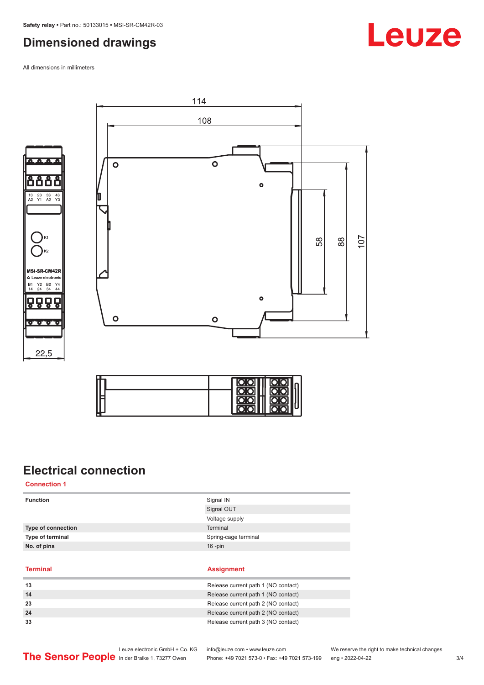### <span id="page-2-0"></span>**Dimensioned drawings**

All dimensions in millimeters







114



## **Electrical connection**

**Connection 1**

| <b>Function</b>    | Signal IN<br>Signal OUT |
|--------------------|-------------------------|
|                    | Voltage supply          |
| Type of connection | Terminal                |
| Type of terminal   | Spring-cage terminal    |
| No. of pins        | $16$ -pin               |
|                    |                         |

**Terminal Assignment**

| 13 | Release current path 1 (NO contact) |
|----|-------------------------------------|
| 14 | Release current path 1 (NO contact) |
| 23 | Release current path 2 (NO contact) |
| 24 | Release current path 2 (NO contact) |
| 33 | Release current path 3 (NO contact) |